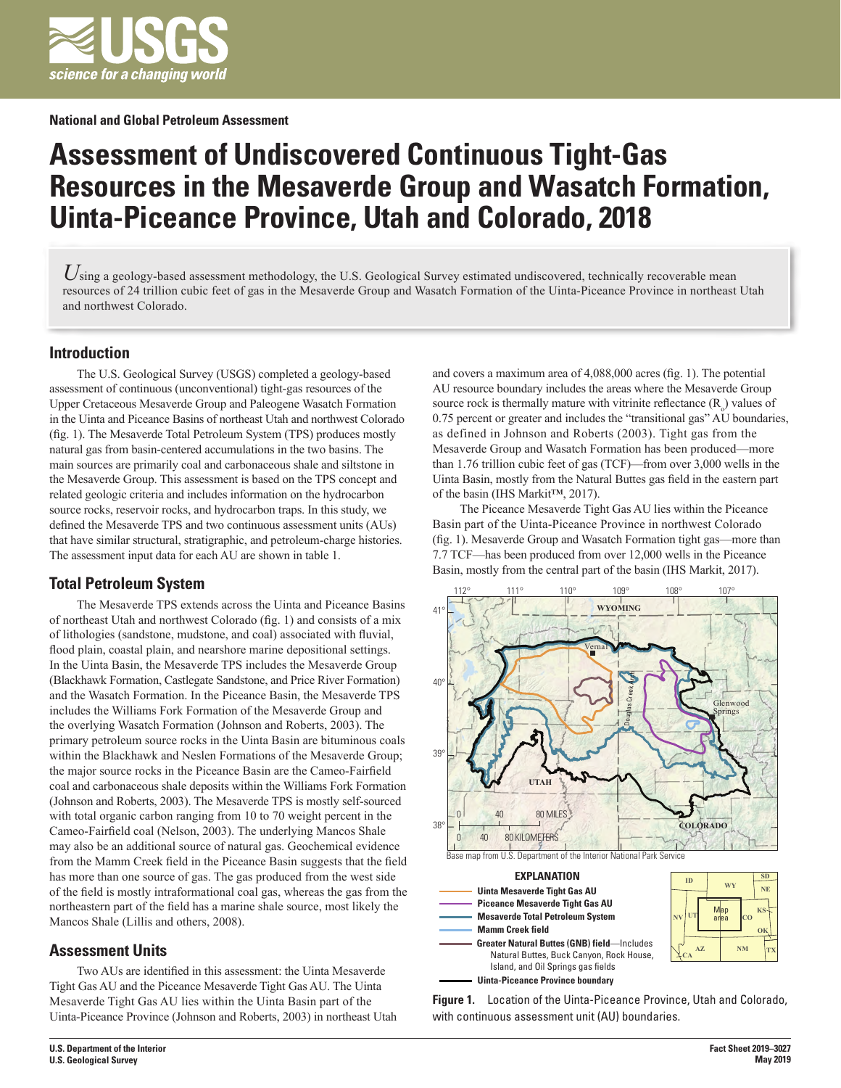

#### **National and Global Petroleum Assessment**

# **Assessment of Undiscovered Continuous Tight-Gas Resources in the Mesaverde Group and Wasatch Formation, Uinta-Piceance Province, Utah and Colorado, 2018**

Using a geology-based assessment methodology, the U.S. Geological Survey estimated undiscovered, technically recoverable mean resources of 24 trillion cubic feet of gas in the Mesaverde Group and Wasatch Formation of the Uinta-Piceance Province in northeast Utah and northwest Colorado.

#### **Introduction**

The U.S. Geological Survey (USGS) completed a geology-based assessment of continuous (unconventional) tight-gas resources of the Upper Cretaceous Mesaverde Group and Paleogene Wasatch Formation in the Uinta and Piceance Basins of northeast Utah and northwest Colorado (fig. 1). The Mesaverde Total Petroleum System (TPS) produces mostly natural gas from basin-centered accumulations in the two basins. The main sources are primarily coal and carbonaceous shale and siltstone in the Mesaverde Group. This assessment is based on the TPS concept and related geologic criteria and includes information on the hydrocarbon source rocks, reservoir rocks, and hydrocarbon traps. In this study, we defined the Mesaverde TPS and two continuous assessment units (AUs) that have similar structural, stratigraphic, and petroleum-charge histories. The assessment input data for each AU are shown in table 1.

## **Total Petroleum System**

The Mesaverde TPS extends across the Uinta and Piceance Basins of northeast Utah and northwest Colorado (fig. 1) and consists of a mix of lithologies (sandstone, mudstone, and coal) associated with fluvial, flood plain, coastal plain, and nearshore marine depositional settings. In the Uinta Basin, the Mesaverde TPS includes the Mesaverde Group (Blackhawk Formation, Castlegate Sandstone, and Price River Formation) and the Wasatch Formation. In the Piceance Basin, the Mesaverde TPS includes the Williams Fork Formation of the Mesaverde Group and the overlying Wasatch Formation (Johnson and Roberts, 2003). The primary petroleum source rocks in the Uinta Basin are bituminous coals within the Blackhawk and Neslen Formations of the Mesaverde Group; the major source rocks in the Piceance Basin are the Cameo-Fairfield coal and carbonaceous shale deposits within the Williams Fork Formation (Johnson and Roberts, 2003). The Mesaverde TPS is mostly self-sourced with total organic carbon ranging from 10 to 70 weight percent in the Cameo-Fairfield coal (Nelson, 2003). The underlying Mancos Shale may also be an additional source of natural gas. Geochemical evidence from the Mamm Creek field in the Piceance Basin suggests that the field has more than one source of gas. The gas produced from the west side of the field is mostly intraformational coal gas, whereas the gas from the northeastern part of the field has a marine shale source, most likely the Mancos Shale (Lillis and others, 2008).

## **Assessment Units**

Two AUs are identified in this assessment: the Uinta Mesaverde Tight Gas AU and the Piceance Mesaverde Tight Gas AU. The Uinta Mesaverde Tight Gas AU lies within the Uinta Basin part of the Uinta-Piceance Province (Johnson and Roberts, 2003) in northeast Utah and covers a maximum area of 4,088,000 acres (fig. 1). The potential AU resource boundary includes the areas where the Mesaverde Group source rock is thermally mature with vitrinite reflectance  $(R_0)$  values of 0.75 percent or greater and includes the "transitional gas" AU boundaries, as defined in Johnson and Roberts (2003). Tight gas from the Mesaverde Group and Wasatch Formation has been produced—more than 1.76 trillion cubic feet of gas (TCF)—from over 3,000 wells in the Uinta Basin, mostly from the Natural Buttes gas field in the eastern part of the basin (IHS Markit™, 2017).

The Piceance Mesaverde Tight Gas AU lies within the Piceance Basin part of the Uinta-Piceance Province in northwest Colorado (fig. 1). Mesaverde Group and Wasatch Formation tight gas—more than 7.7 TCF—has been produced from over 12,000 wells in the Piceance Basin, mostly from the central part of the basin (IHS Markit, 2017).



**Figure 1.** Location of the Uinta-Piceance Province, Utah and Colorado, with continuous assessment unit (AU) boundaries.